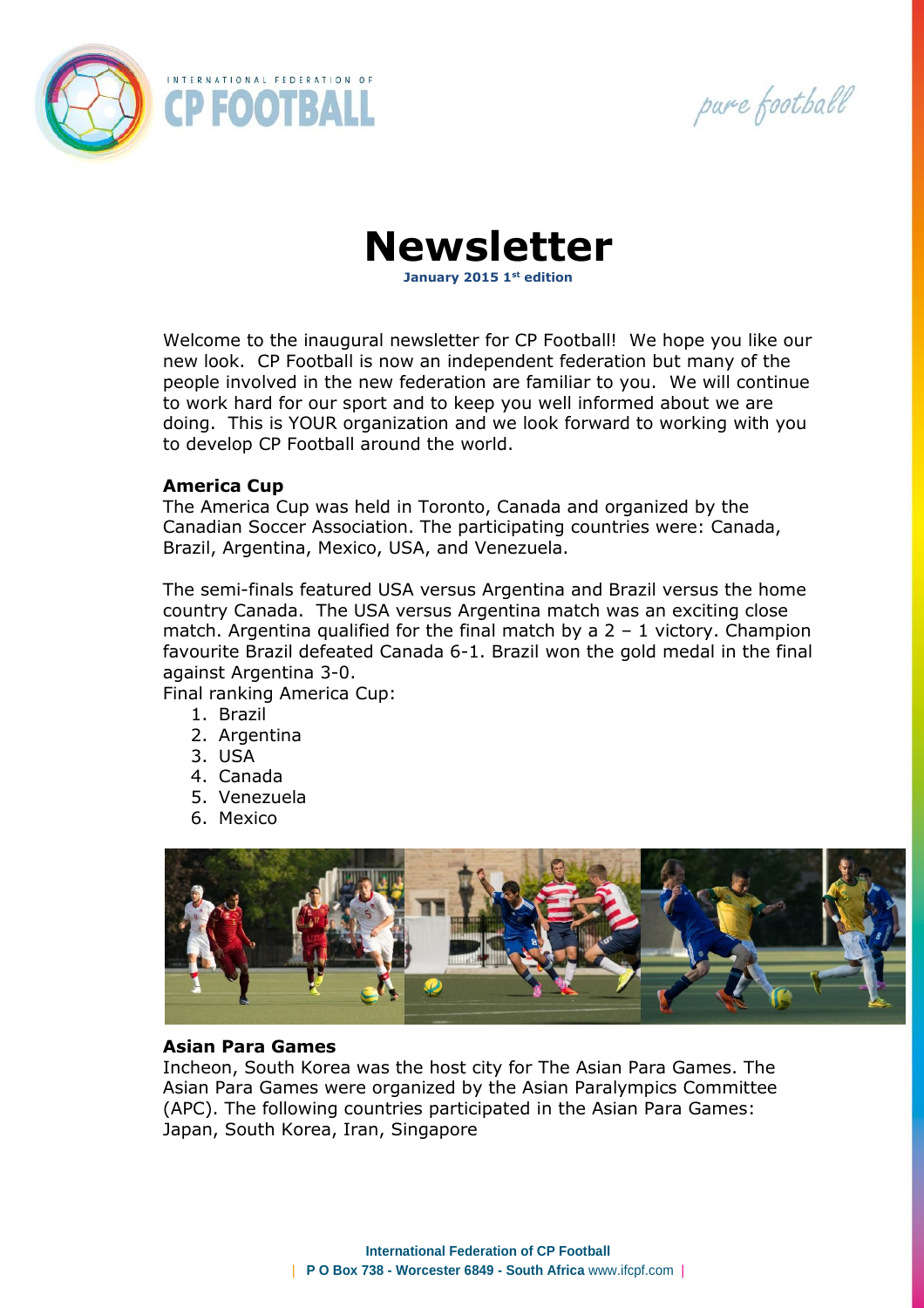

pure football

**Newsletter**

**January 2015 1st edition** 

Welcome to the inaugural newsletter for CP Football! We hope you like our new look. CP Football is now an independent federation but many of the people involved in the new federation are familiar to you. We will continue to work hard for our sport and to keep you well informed about we are doing. This is YOUR organization and we look forward to working with you to develop CP Football around the world.

## **America Cup**

The America Cup was held in Toronto, Canada and organized by the Canadian Soccer Association. The participating countries were: Canada, Brazil, Argentina, Mexico, USA, and Venezuela.

The semi-finals featured USA versus Argentina and Brazil versus the home country Canada. The USA versus Argentina match was an exciting close match. Argentina qualified for the final match by a  $2 - 1$  victory. Champion favourite Brazil defeated Canada 6-1. Brazil won the gold medal in the final against Argentina 3-0.

Final ranking America Cup:

- 1. Brazil
- 2. Argentina
- 3. USA
- 4. Canada
- 5. Venezuela
- 6. Mexico



## **Asian Para Games**

Incheon, South Korea was the host city for The Asian Para Games. The Asian Para Games were organized by the Asian Paralympics Committee (APC). The following countries participated in the Asian Para Games: Japan, South Korea, Iran, Singapore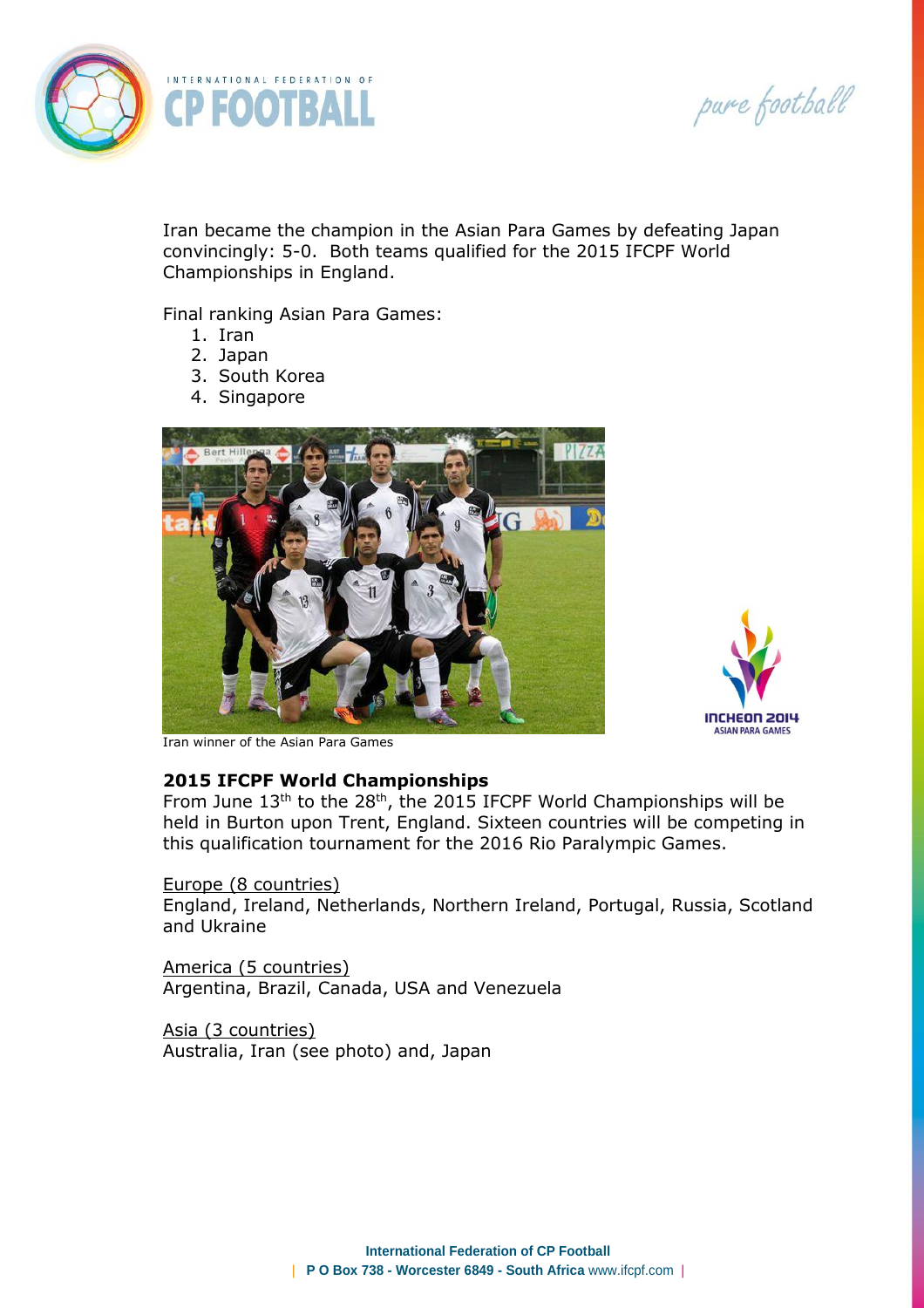pure football



Iran became the champion in the Asian Para Games by defeating Japan convincingly: 5-0. Both teams qualified for the 2015 IFCPF World Championships in England.

Final ranking Asian Para Games:

- 1. Iran
- 2. Japan
- 3. South Korea
- 4. Singapore





Iran winner of the Asian Para Games

## **2015 IFCPF World Championships**

From June  $13<sup>th</sup>$  to the 28<sup>th</sup>, the 2015 IFCPF World Championships will be held in Burton upon Trent, England. Sixteen countries will be competing in this qualification tournament for the 2016 Rio Paralympic Games.

#### Europe (8 countries)

England, Ireland, Netherlands, Northern Ireland, Portugal, Russia, Scotland and Ukraine

America (5 countries) Argentina, Brazil, Canada, USA and Venezuela

Asia (3 countries) Australia, Iran (see photo) and, Japan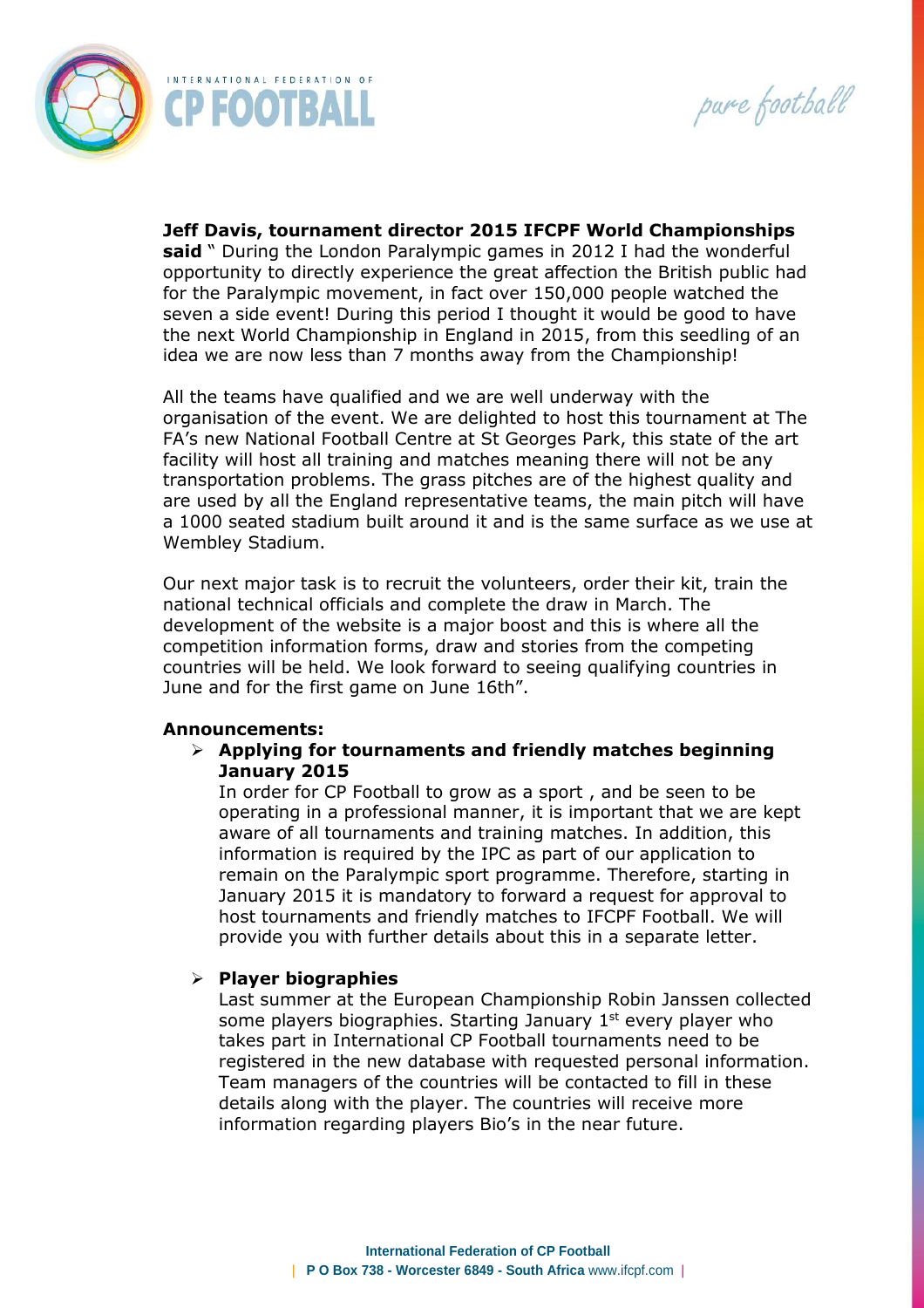



**Jeff Davis, tournament director 2015 IFCPF World Championships said** " During the London Paralympic games in 2012 I had the wonderful opportunity to directly experience the great affection the British public had for the Paralympic movement, in fact over 150,000 people watched the seven a side event! During this period I thought it would be good to have the next World Championship in England in 2015, from this seedling of an idea we are now less than 7 months away from the Championship!

All the teams have qualified and we are well underway with the organisation of the event. We are delighted to host this tournament at The FA's new National Football Centre at St Georges Park, this state of the art facility will host all training and matches meaning there will not be any transportation problems. The grass pitches are of the highest quality and are used by all the England representative teams, the main pitch will have a 1000 seated stadium built around it and is the same surface as we use at Wembley Stadium.

Our next major task is to recruit the volunteers, order their kit, train the national technical officials and complete the draw in March. The development of the website is a major boost and this is where all the competition information forms, draw and stories from the competing countries will be held. We look forward to seeing qualifying countries in June and for the first game on June 16th".

#### **Announcements:**

 **Applying for tournaments and friendly matches beginning January 2015**

In order for CP Football to grow as a sport , and be seen to be operating in a professional manner, it is important that we are kept aware of all tournaments and training matches. In addition, this information is required by the IPC as part of our application to remain on the Paralympic sport programme. Therefore, starting in January 2015 it is mandatory to forward a request for approval to host tournaments and friendly matches to IFCPF Football. We will provide you with further details about this in a separate letter.

## **Player biographies**

Last summer at the European Championship Robin Janssen collected some players biographies. Starting January  $1<sup>st</sup>$  every player who takes part in International CP Football tournaments need to be registered in the new database with requested personal information. Team managers of the countries will be contacted to fill in these details along with the player. The countries will receive more information regarding players Bio's in the near future.